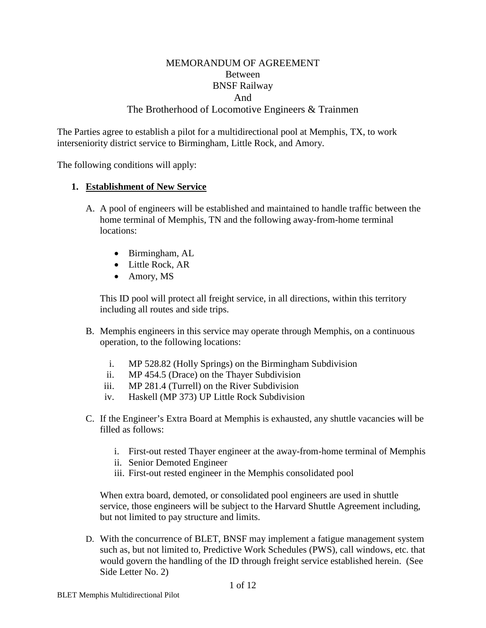## MEMORANDUM OF AGREEMENT Between BNSF Railway And The Brotherhood of Locomotive Engineers & Trainmen

The Parties agree to establish a pilot for a multidirectional pool at Memphis, TX, to work interseniority district service to Birmingham, Little Rock, and Amory.

The following conditions will apply:

#### **1. Establishment of New Service**

- A. A pool of engineers will be established and maintained to handle traffic between the home terminal of Memphis, TN and the following away-from-home terminal locations:
	- Birmingham, AL
	- Little Rock, AR
	- Amory, MS

This ID pool will protect all freight service, in all directions, within this territory including all routes and side trips.

- B. Memphis engineers in this service may operate through Memphis, on a continuous operation, to the following locations:
	- i. MP 528.82 (Holly Springs) on the Birmingham Subdivision
	- ii. MP 454.5 (Drace) on the Thayer Subdivision
	- iii. MP 281.4 (Turrell) on the River Subdivision
	- iv. Haskell (MP 373) UP Little Rock Subdivision
- C. If the Engineer's Extra Board at Memphis is exhausted, any shuttle vacancies will be filled as follows:
	- i. First-out rested Thayer engineer at the away-from-home terminal of Memphis
	- ii. Senior Demoted Engineer
	- iii. First-out rested engineer in the Memphis consolidated pool

When extra board, demoted, or consolidated pool engineers are used in shuttle service, those engineers will be subject to the Harvard Shuttle Agreement including, but not limited to pay structure and limits.

D. With the concurrence of BLET, BNSF may implement a fatigue management system such as, but not limited to, Predictive Work Schedules (PWS), call windows, etc. that would govern the handling of the ID through freight service established herein. (See Side Letter No. 2)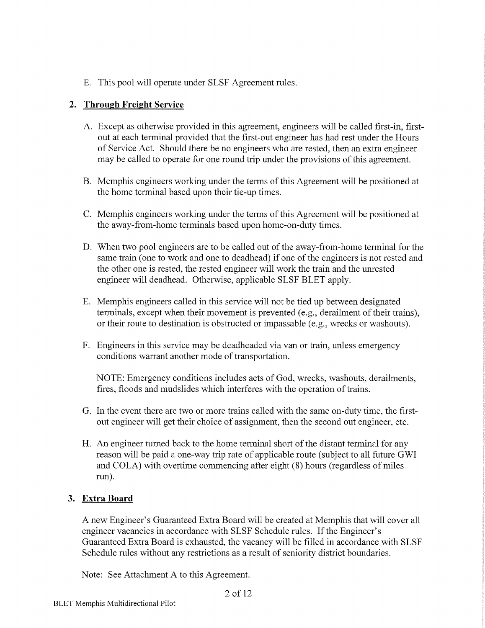E. This pool will operate under SLSF Agreement rules.

#### 2. Through Freight Service

- A. Except as otherwise provided in this agreement, engineers will be called first-in, firstout at each terminal provided that the first-out engineer has had rest under the Hours of Service Act. Should there be no engineers who are rested, then an extra engineer may be called to operate for one round trip under the provisions of this agreement.
- B. Memphis engineers working under the terms of this Agreement will be positioned at the home terminal based upon their tie-up times.
- C. Memphis engineers working under the terms of this Agreement will be positioned at the away-from-home terminals based upon home-on-duty times.
- D. When two pool engineers are to be called out of the away-from-home terminal for the same train (one to work and one to deadhead) if one of the engineers is not rested and the other one is rested, the rested engineer will work the train and the unrested engineer will deadhead. Otherwise, applicable SLSF BLET apply.
- E. Memphis engineers called in this service will not be tied up between designated terminals, except when their movement is prevented (e.g., derailment of their trains), or their route to destination is obstructed or impassable (e.g., wrecks or washouts).
- F. Engineers in this service may be deadheaded via van or train, unless emergency conditions warrant another mode of transportation.

NOTE: Emergency conditions includes acts of God, wrecks, washouts, derailments, fires, floods and mudslides which interferes with the operation of trains.

- G. In the event there are two or more trains called with the same on-duty time, the firstout engineer will get their choice of assignment, then the second out engineer, etc.
- H. An engineer turned back to the home terminal short of the distant terminal for any reason will be paid a one-way trip rate of applicable route (subject to all future GWI and COLA) with overtime commencing after eight (8) hours (regardless of miles run).

#### 3. Extra Board

A new Engineer's Guaranteed Extra Board will be created at Memphis that will cover all engineer vacancies in accordance with SLSF Schedule rules. If the Engineer's Guaranteed Extra Board is exhausted, the vacancy will be filled in accordance with SLSF Schedule rules without any restrictions as a result of seniority district boundaries.

Note: See Attachment A to this Agreement.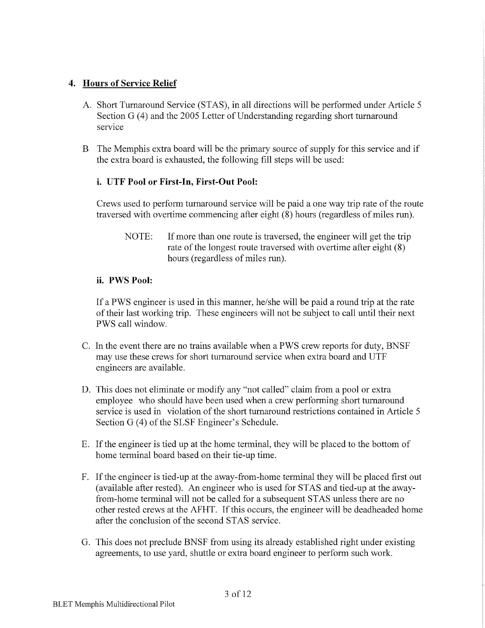#### 4. Hours of Service Relief

- A. Short Turnaround Service (STAS), in all directions will be performed under Article 5 Section G (4) and the 2005 Letter of Understanding regarding short turnaround service
- B The Memphis extra board will be the primary source of supply for this service and if the extra board is exhausted, the following fill steps will be used:

#### i. UTF Pool or First-In, First-Out Pool:

Crews used to perform turnaround service will be paid a one way trip rate of the route traversed with overtime commencing after eight (8) hours (regardless of miles run).

NOTE: If more than one route is traversed, the engineer will get the trip rate of the longest route traversed with overtime after eight (8) hours (regardless of miles run).

#### ii. PWS Pool:

If a PWS engineer is used in this manner, he/she will be paid a round trip at the rate of their last working trip. These engineers will not be subject to call until their next PWS call window.

- C. In the event there are no trains available when a PWS crew reports for duty, BNSF may use these crews for short turnaround service when extra board and UTF engineers are available.
- D. This does not eliminate or modify any "not called" claim from a pool or extra employee who should have been used when a crew performing short turnaround service is used in violation of the short turnaround restrictions contained in Article 5 Section G (4) of the SLSF Engineer's Schedule.
- E. If the engineer is tied up at the home terminal, they will be placed to the bottom of home terminal board based on their tie-up time.
- F. If the engineer is tied-up at the away-from-home terminal they will be placed first out (available after rested). An engineer who is used for STAS and tied-up at the awayfrom-home terminal will not be called for a subsequent STAS unless there are no other rested crews at the AFHT. If this occurs, the engineer will be deadheaded home after the conclusion of the second STAS service.
- G. This does not preclude BNSF from using its already established right under existing agreements, to use yard, shuttle or extra board engineer to perform such work.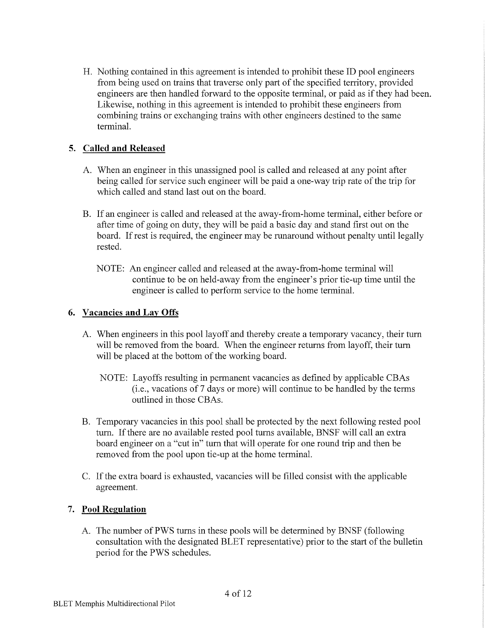H. Nothing contained in this agreement is intended to prohibit these ID pool engineers from being used on trains that traverse only part of the specified territory, provided engineers are then handled forward to the opposite terminal, or paid as if they had been. Likewise, nothing in this agreement is intended to prohibit these engineers from combining trains or exchanging trains with other engineers destined to the same terminal.

## 5. Called and Released

- A. When an engineer in this unassigned pool is called and released at any point after being called for service such engineer will be paid a one-way trip rate of the trip for which called and stand last out on the board.
- B. If an engineer is called and released at the away-from-home terminal, either before or after time of going on duty, they will be paid a basic day and stand first out on the board. If rest is required, the engineer may be runaround without penalty until legally rested.
	- NOTE: An engineer called and released at the away-from-home terminal will continue to be on held-away from the engineer's prior tie-up time until the engineer is called to perform service to the home terminal.

## 6. Vacancies and Lay Offs

- A. When engineers in this pool layoff and thereby create a temporary vacancy, their turn will be removed from the board. When the engineer returns from layoff, their turn will be placed at the bottom of the working board.
	- NOTE: Layoffs resulting in permanent vacancies as defined by applicable CBAs (i.e., vacations of 7 days or more) will continue to be handled by the terms outlined in those CBAs.
- B. Temporary vacancies in this pool shall be protected by the next following rested pool turn. If there are no available rested pool turns available, BNSF will call an extra board engineer on a "cut in" turn that will operate for one round trip and then be removed from the pool upon tie-up at the home terminal.
- C. If the extra board is exhausted, vacancies will be filled consist with the applicable agreement.

## 7. Pool Regulation

A. The number of PWS turns in these pools will be determined by BNSF (following consultation with the designated BLET representative) prior to the start of the bulletin period for the PWS schedules.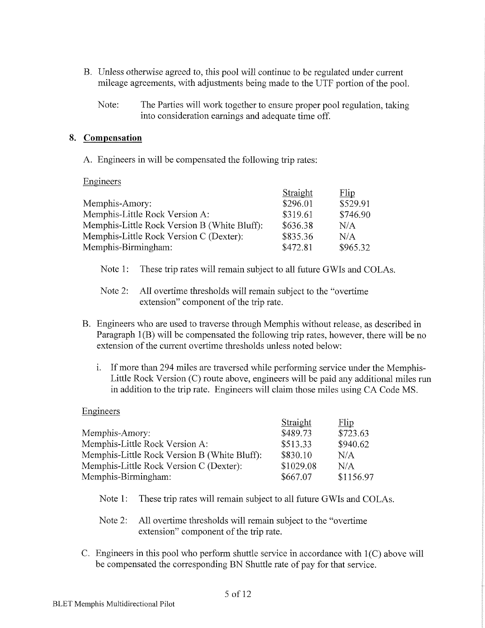- B. Unless otherwise agreed to, this pool will continue to be regulated under current mileage agreements, with adjustments being made to the UTF portion of the pool.
	- Note: The Parties will work together to ensure proper pool regulation, taking into consideration earnings and adequate time off.

#### 8. Compensation

A. Engineers in will be compensated the following trip rates:

Engineers

|                                              | Straight | Flip     |
|----------------------------------------------|----------|----------|
| Memphis-Amory:                               | \$296.01 | \$529.91 |
| Memphis-Little Rock Version A:               | \$319.61 | \$746.90 |
| Memphis-Little Rock Version B (White Bluff): | \$636.38 | N/A      |
| Memphis-Little Rock Version C (Dexter):      | \$835.36 | N/A      |
| Memphis-Birmingham:                          | \$472.81 | \$965.32 |

- Note  $1$ : These trip rates will remain subject to all future GWIs and COLAs.
- Note  $2$ : All overtime thresholds will remain subject to the "overtime" extension" component of the trip rate.
- B. Engineers who are used to traverse through Memphis without release, as described in Paragraph 1(B) will be compensated the following trip rates, however, there will be no extension of the current overtime thresholds unless noted below:
	- $\mathbf{i}$ . If more than 294 miles are traversed while performing service under the Memphis-Little Rock Version (C) route above, engineers will be paid any additional miles run in addition to the trip rate. Engineers will claim those miles using CA Code MS.

#### Engineers

|                                              | Straight  | Flip      |
|----------------------------------------------|-----------|-----------|
| Memphis-Amory:                               | \$489.73  | \$723.63  |
| Memphis-Little Rock Version A:               | \$513.33  | \$940.62  |
| Memphis-Little Rock Version B (White Bluff): | \$830.10  | N/A       |
| Memphis-Little Rock Version C (Dexter):      | \$1029.08 | N/A       |
| Memphis-Birmingham:                          | \$667.07  | \$1156.97 |

Note  $1:$ These trip rates will remain subject to all future GWIs and COLAs.

#### Note  $2$ : All overtime thresholds will remain subject to the "overtime" extension" component of the trip rate.

C. Engineers in this pool who perform shuttle service in accordance with  $1(C)$  above will be compensated the corresponding BN Shuttle rate of pay for that service.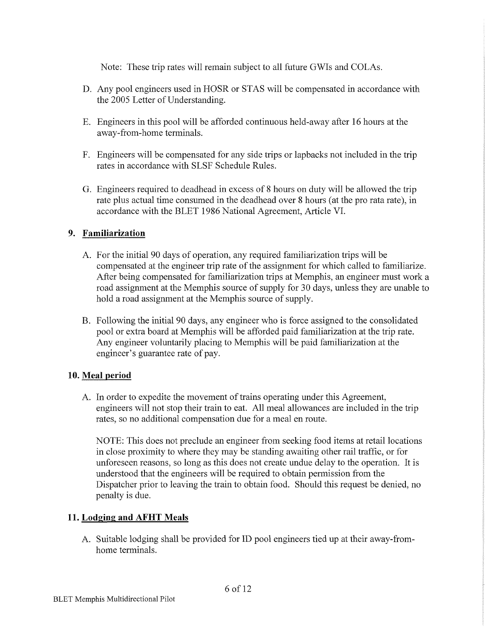Note: These trip rates will remain subject to all future GWIs and COLAs.

- D. Any pool engineers used in HOSR or STAS will be compensated in accordance with the 2005 Letter of Understanding.
- E. Engineers in this pool will be afforded continuous held-away after 16 hours at the away-from-home terminals.
- F. Engineers will be compensated for any side trips or lapbacks not included in the trip rates in accordance with SLSF Schedule Rules.
- G. Engineers required to deadhead in excess of 8 hours on duty will be allowed the trip rate plus actual time consumed in the deadhead over 8 hours (at the pro rata rate), in accordance with the BLET 1986 National Agreement, Article VI.

# 9. Familiarization

- A. For the initial 90 days of operation, any required familiarization trips will be compensated at the engineer trip rate of the assignment for which called to familiarize. After being compensated for familiarization trips at Memphis, an engineer must work a road assignment at the Memphis source of supply for 30 days, unless they are unable to hold a road assignment at the Memphis source of supply.
- B. Following the initial 90 days, any engineer who is force assigned to the consolidated pool or extra board at Memphis will be afforded paid familiarization at the trip rate. Any engineer voluntarily placing to Memphis will be paid familiarization at the engineer's guarantee rate of pay.

## 10. Meal period

A. In order to expedite the movement of trains operating under this Agreement, engineers will not stop their train to eat. All meal allowances are included in the trip rates, so no additional compensation due for a meal en route.

NOTE: This does not preclude an engineer from seeking food items at retail locations in close proximity to where they may be standing awaiting other rail traffic, or for unforeseen reasons, so long as this does not create undue delay to the operation. It is understood that the engineers will be required to obtain permission from the Dispatcher prior to leaving the train to obtain food. Should this request be denied, no penalty is due.

## 11. Lodging and AFHT Meals

A. Suitable lodging shall be provided for ID pool engineers tied up at their away-fromhome terminals.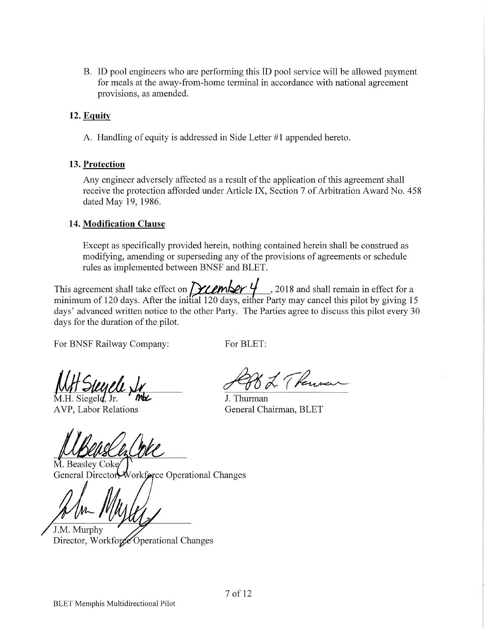B. ID pool engineers who are performing this ID pool service will be allowed payment for meals at the away-from-home terminal in accordance with national agreement provisions, as amended.

# 12. Equity

A. Handling of equity is addressed in Side Letter #1 appended hereto.

## 13. Protection

Any engineer adversely affected as a result of the application of this agreement shall receive the protection afforded under Article IX, Section 7 of Arbitration Award No. 458 dated May 19, 1986.

## 14. Modification Clause

Except as specifically provided herein, nothing contained herein shall be construed as modifying, amending or superseding any of the provisions of agreements or schedule rules as implemented between BNSF and BLET.

This agreement shall take effect on  $\frac{1}{2}$   $\frac{1}{20}$ , 2018 and shall remain in effect for a minimum of 120 days. After the initial 120 days, either Party may cancel this pilot by giving 15 days' advanced written notice to the other Party. The Parties agree to discuss this pilot every 30 days for the duration of the pilot.

For BNSF Railway Company:

For BLET:

M.H. Siegeld, Jr. AVP, Labor Relations

(Renner

J. Thurman General Chairman, BLET

M. Beaslev Coke Vorkforce Operational Changes General Director

J.M. Murphy

Director, Workfore Operational Changes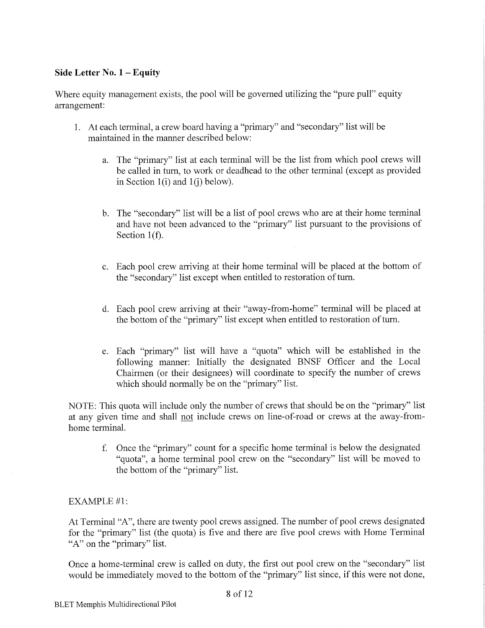#### Side Letter No. 1 - Equity

Where equity management exists, the pool will be governed utilizing the "pure pull" equity arrangement:

- 1. At each terminal, a crew board having a "primary" and "secondary" list will be maintained in the manner described below:
	- a. The "primary" list at each terminal will be the list from which pool crews will be called in turn, to work or deadhead to the other terminal (except as provided in Section  $1(i)$  and  $1(i)$  below).
	- b. The "secondary" list will be a list of pool crews who are at their home terminal and have not been advanced to the "primary" list pursuant to the provisions of Section  $1(f)$ .
	- c. Each pool crew arriving at their home terminal will be placed at the bottom of the "secondary" list except when entitled to restoration of turn.
	- d. Each pool crew arriving at their "away-from-home" terminal will be placed at the bottom of the "primary" list except when entitled to restoration of turn.
	- e. Each "primary" list will have a "quota" which will be established in the following manner: Initially the designated BNSF Officer and the Local Chairmen (or their designees) will coordinate to specify the number of crews which should normally be on the "primary" list.

NOTE: This quota will include only the number of crews that should be on the "primary" list at any given time and shall not include crews on line-of-road or crews at the away-fromhome terminal.

f. Once the "primary" count for a specific home terminal is below the designated "quota", a home terminal pool crew on the "secondary" list will be moved to the bottom of the "primary" list.

#### **EXAMPLE #1:**

At Terminal "A", there are twenty pool crews assigned. The number of pool crews designated for the "primary" list (the quota) is five and there are five pool crews with Home Terminal "A" on the "primary" list.

Once a home-terminal crew is called on duty, the first out pool crew on the "secondary" list would be immediately moved to the bottom of the "primary" list since, if this were not done,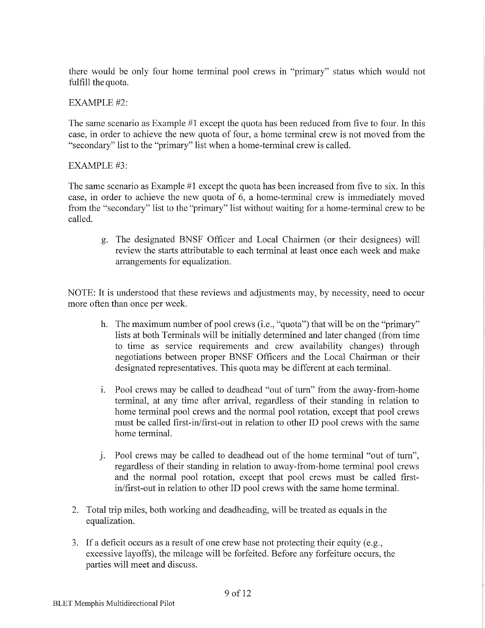there would be only four home terminal pool crews in "primary" status which would not fulfill the quota.

#### **EXAMPLE #2:**

The same scenario as Example #1 except the quota has been reduced from five to four. In this case, in order to achieve the new quota of four, a home terminal crew is not moved from the "secondary" list to the "primary" list when a home-terminal crew is called.

#### $EXAMPLE#3:$

The same scenario as Example #1 except the quota has been increased from five to six. In this case, in order to achieve the new quota of 6, a home-terminal crew is immediately moved from the "secondary" list to the "primary" list without waiting for a home-terminal crew to be called.

g. The designated BNSF Officer and Local Chairmen (or their designees) will review the starts attributable to each terminal at least once each week and make arrangements for equalization.

NOTE: It is understood that these reviews and adjustments may, by necessity, need to occur more often than once per week.

- h. The maximum number of pool crews (i.e., "quota") that will be on the "primary" lists at both Terminals will be initially determined and later changed (from time to time as service requirements and crew availability changes) through negotiations between proper BNSF Officers and the Local Chairman or their designated representatives. This quota may be different at each terminal.
- i. Pool crews may be called to deadhead "out of turn" from the away-from-home terminal, at any time after arrival, regardless of their standing in relation to home terminal pool crews and the normal pool rotation, except that pool crews must be called first-in/first-out in relation to other ID pool crews with the same home terminal.
- j. Pool crews may be called to deadhead out of the home terminal "out of turn", regardless of their standing in relation to away-from-home terminal pool crews and the normal pool rotation, except that pool crews must be called firstin/first-out in relation to other ID pool crews with the same home terminal.
- 2. Total trip miles, both working and deadheading, will be treated as equals in the equalization.
- 3. If a deficit occurs as a result of one crew base not protecting their equity (e.g., excessive layoffs), the mileage will be forfeited. Before any forfeiture occurs, the parties will meet and discuss.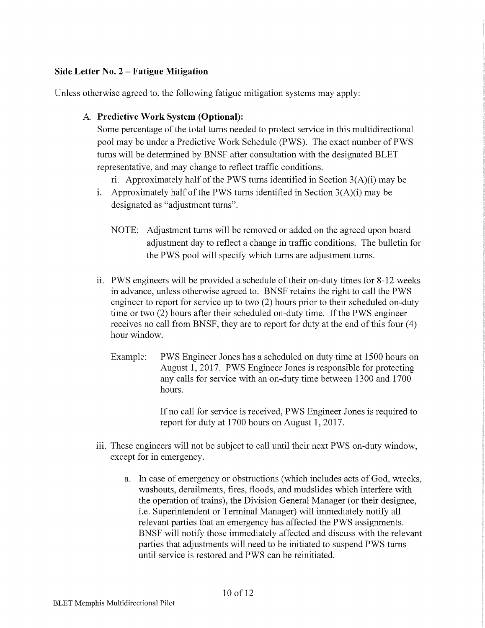#### Side Letter No.  $2$  – Fatigue Mitigation

Unless otherwise agreed to, the following fatigue mitigation systems may apply:

## A. Predictive Work System (Optional):

Some percentage of the total turns needed to protect service in this multidirectional pool may be under a Predictive Work Schedule (PWS). The exact number of PWS turns will be determined by BNSF after consultation with the designated BLET representative, and may change to reflect traffic conditions.

ri. Approximately half of the PWS turns identified in Section  $3(A)(i)$  may be

- i. Approximately half of the PWS turns identified in Section  $3(A)(i)$  may be designated as "adjustment turns".
	- NOTE: Adjustment turns will be removed or added on the agreed upon board adjustment day to reflect a change in traffic conditions. The bulletin for the PWS pool will specify which turns are adjustment turns.
- ii. PWS engineers will be provided a schedule of their on-duty times for 8-12 weeks in advance, unless otherwise agreed to. BNSF retains the right to call the PWS engineer to report for service up to two (2) hours prior to their scheduled on-duty time or two (2) hours after their scheduled on-duty time. If the PWS engineer receives no call from BNSF, they are to report for duty at the end of this four (4) hour window.
	- PWS Engineer Jones has a scheduled on duty time at 1500 hours on Example: August 1, 2017. PWS Engineer Jones is responsible for protecting any calls for service with an on-duty time between 1300 and 1700 hours.

If no call for service is received, PWS Engineer Jones is required to report for duty at 1700 hours on August 1, 2017.

- iii. These engineers will not be subject to call until their next PWS on-duty window, except for in emergency.
	- a. In case of emergency or obstructions (which includes acts of God, wrecks, washouts, derailments, fires, floods, and mudslides which interfere with the operation of trains), the Division General Manager (or their designee, i.e. Superintendent or Terminal Manager) will immediately notify all relevant parties that an emergency has affected the PWS assignments. BNSF will notify those immediately affected and discuss with the relevant parties that adjustments will need to be initiated to suspend PWS turns until service is restored and PWS can be reinitiated.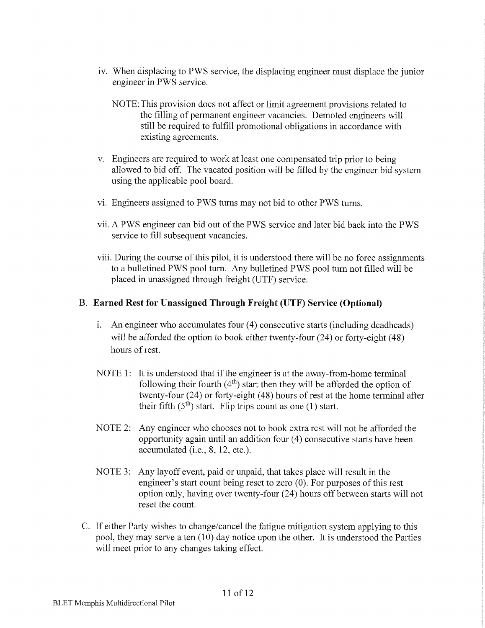- iv. When displacing to PWS service, the displacing engineer must displace the junior engineer in PWS service.
	- NOTE: This provision does not affect or limit agreement provisions related to the filling of permanent engineer vacancies. Demoted engineers will still be required to fulfill promotional obligations in accordance with existing agreements.
- v. Engineers are required to work at least one compensated trip prior to being allowed to bid off. The vacated position will be filled by the engineer bid system using the applicable pool board.
- vi. Engineers assigned to PWS turns may not bid to other PWS turns.
- vii. A PWS engineer can bid out of the PWS service and later bid back into the PWS service to fill subsequent vacancies.
- viii. During the course of this pilot, it is understood there will be no force assignments to a bulletined PWS pool turn. Any bulletined PWS pool turn not filled will be placed in unassigned through freight (UTF) service.

# B. Earned Rest for Unassigned Through Freight (UTF) Service (Optional)

- i. An engineer who accumulates four (4) consecutive starts (including deadheads) will be afforded the option to book either twenty-four (24) or forty-eight (48) hours of rest.
- NOTE 1: It is understood that if the engineer is at the away-from-home terminal following their fourth  $(4<sup>th</sup>)$  start then they will be afforded the option of twenty-four (24) or forty-eight (48) hours of rest at the home terminal after their fifth  $(5<sup>th</sup>)$  start. Flip trips count as one (1) start.
- NOTE 2: Any engineer who chooses not to book extra rest will not be afforded the opportunity again until an addition four (4) consecutive starts have been accumulated (i.e., 8, 12, etc.).
- NOTE 3: Any layoff event, paid or unpaid, that takes place will result in the engineer's start count being reset to zero  $(0)$ . For purposes of this rest option only, having over twenty-four (24) hours off between starts will not reset the count.
- C. If either Party wishes to change/cancel the fatigue mitigation system applying to this pool, they may serve a ten (10) day notice upon the other. It is understood the Parties will meet prior to any changes taking effect.